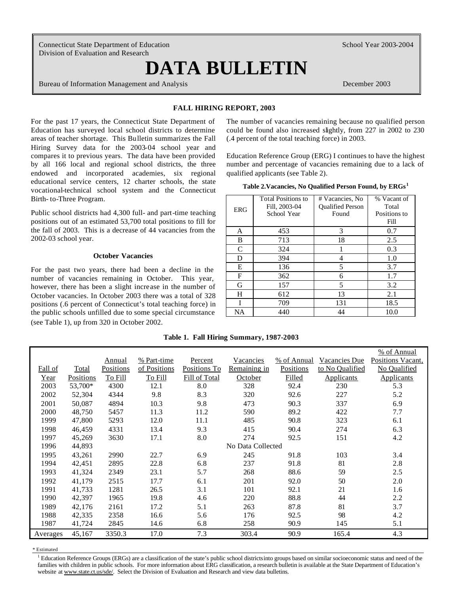Connecticut State Department of Education Division of Evaluation and Research

# **DATA BULLETIN**

Bureau of Information Management and Analysis December 2003

School Year 2003-2004

## **FALL HIRING REPORT, 2003**

For the past 17 years, the Connecticut State Department of Education has surveyed local school districts to determine areas of teacher shortage. This Bulletin summarizes the Fall Hiring Survey data for the 2003-04 school year and compares it to previous years. The data have been provided by all 166 local and regional school districts, the three endowed and incorporated academies, six regional educational service centers, 12 charter schools, the state vocational-technical school system and the Connecticut Birth- to-Three Program.

Public school districts had 4,300 full- and part-time teaching positions out of an estimated 53,700 total positions to fill for the fall of 2003. This is a decrease of 44 vacancies from the 2002-03 school year.

## **October Vacancies**

For the past two years, there had been a decline in the number of vacancies remaining in October. This year, however, there has been a slight increase in the number of October vacancies. In October 2003 there was a total of 328 positions (.6 percent of Connecticut's total teaching force) in the public schools unfilled due to some special circumstance (see Table 1), up from 320 in October 2002.

The number of vacancies remaining because no qualified person could be found also increased slightly, from 227 in 2002 to 230 (.4 percent of the total teaching force) in 2003.

Education Reference Group (ERG) I continues to have the highest number and percentage of vacancies remaining due to a lack of qualified applicants (see Table 2).

|  |  |  |  | Table 2.Vacancies, No Qualified Person Found, by ${\rm ERGs^1}$ |  |
|--|--|--|--|-----------------------------------------------------------------|--|
|--|--|--|--|-----------------------------------------------------------------|--|

| <b>ERG</b> | <b>Total Positions to</b><br>Fill, 2003-04<br>School Year | # Vacancies, No<br><b>Qualified Person</b><br>Found | % Vacant of<br>Total<br>Positions to<br>Fill |
|------------|-----------------------------------------------------------|-----------------------------------------------------|----------------------------------------------|
| A          | 453                                                       | 3                                                   | 0.7                                          |
| B          | 713                                                       | 18                                                  | 2.5                                          |
| C          | 324                                                       |                                                     | 0.3                                          |
| D          | 394                                                       | 4                                                   | 1.0                                          |
| E          | 136                                                       | 5                                                   | 3.7                                          |
| F          | 362                                                       | 6                                                   | 1.7                                          |
| G          | 157                                                       | 5                                                   | 3.2                                          |
| H          | 612                                                       | 13                                                  | 2.1                                          |
| T          | 709                                                       | 131                                                 | 18.5                                         |
| NA         | 440                                                       | 44                                                  | 10.0                                         |

**Table 1. Fall Hiring Summary, 1987-2003** 

|          |           |                  |              |               |                   |                  |                   | % of Annual       |
|----------|-----------|------------------|--------------|---------------|-------------------|------------------|-------------------|-------------------|
|          |           | <b>Annual</b>    | % Part-time  | Percent       | Vacancies         | % of Annual      | Vacancies Due     | Positions Vacant, |
| Fall of  | Total     | <b>Positions</b> | of Positions | Positions To  | Remaining in      | <b>Positions</b> | to No Qualified   | No Qualified      |
| Year     | Positions | To Fill          | To Fill      | Fill of Total | October           | Filled           | <b>Applicants</b> | <b>Applicants</b> |
| 2003     | 53,700*   | 4300             | 12.1         | 8.0           | 328               | 92.4             | 230               | 5.3               |
| 2002     | 52,304    | 4344             | 9.8          | 8.3           | 320               | 92.6             | 227               | 5.2               |
| 2001     | 50,087    | 4894             | 10.3         | 9.8           | 473               | 90.3             | 337               | 6.9               |
| 2000     | 48,750    | 5457             | 11.3         | 11.2          | 590               | 89.2             | 422               | 7.7               |
| 1999     | 47,800    | 5293             | 12.0         | 11.1          | 485               | 90.8             | 323               | 6.1               |
| 1998     | 46.459    | 4331             | 13.4         | 9.3           | 415               | 90.4             | 274               | 6.3               |
| 1997     | 45,269    | 3630             | 17.1         | 8.0           | 274               | 92.5             | 151               | 4.2               |
| 1996     | 44,893    |                  |              |               | No Data Collected |                  |                   |                   |
| 1995     | 43,261    | 2990             | 22.7         | 6.9           | 245               | 91.8             | 103               | 3.4               |
| 1994     | 42,451    | 2895             | 22.8         | 6.8           | 237               | 91.8             | 81                | 2.8               |
| 1993     | 41,324    | 2349             | 23.1         | 5.7           | 268               | 88.6             | 59                | 2.5               |
| 1992     | 41,179    | 2515             | 17.7         | 6.1           | 201               | 92.0             | 50                | 2.0               |
| 1991     | 41,733    | 1281             | 26.5         | 3.1           | 101               | 92.1             | 21                | 1.6               |
| 1990     | 42,397    | 1965             | 19.8         | 4.6           | 220               | 88.8             | 44                | 2.2               |
| 1989     | 42,176    | 2161             | 17.2         | 5.1           | 263               | 87.8             | 81                | 3.7               |
| 1988     | 42,335    | 2358             | 16.6         | 5.6           | 176               | 92.5             | 98                | 4.2               |
| 1987     | 41,724    | 2845             | 14.6         | 6.8           | 258               | 90.9             | 145               | 5.1               |
| Averages | 45,167    | 3350.3           | 17.0         | 7.3           | 303.4             | 90.9             | 165.4             | 4.3               |

\* Estimated

1 Education Reference Groups (ERGs) are a classification of the state's public school districtsinto groups based on similar socioeconomic status and need of the families with children in public schools. For more information about ERG classification, a research bulletin is available at the State Department of Education's website at www.state.ct.us/sde/. Select the Division of Evaluation and Research and view data bulletins.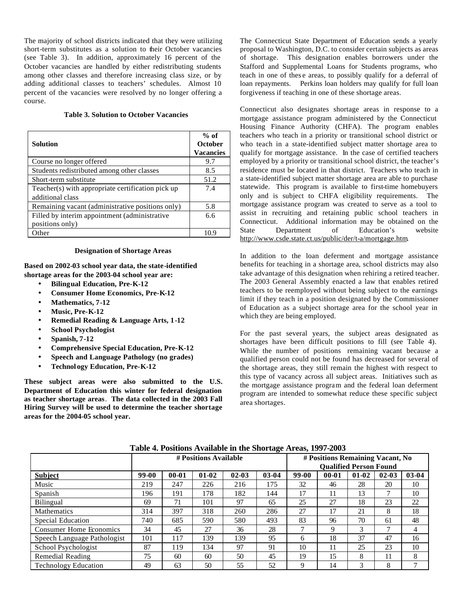The majority of school districts indicated that they were utilizing short-term substitutes as a solution to their October vacancies (see Table 3). In addition, approximately 16 percent of the October vacancies are handled by either redistributing students among other classes and therefore increasing class size, or by adding additional classes to teachers' schedules. Almost 10 percent of the vacancies were resolved by no longer offering a course.

# **Table 3. Solution to October Vacancies**

| <b>Solution</b>                                   | $%$ of<br>October<br><b>Vacancies</b> |
|---------------------------------------------------|---------------------------------------|
| Course no longer offered                          | 9.7                                   |
| Students redistributed among other classes        | 8.5                                   |
| Short-term substitute                             | 51.2                                  |
| Teacher(s) with appropriate certification pick up | 7.4                                   |
| additional class                                  |                                       |
| Remaining vacant (administrative positions only)  | 5.8                                   |
| Filled by interim appointment (administrative     | 6.6                                   |
| positions only)                                   |                                       |
| Other                                             | 10 G                                  |

#### **Designation of Shortage Areas**

**Based on 2002-03 school year data, the state-identified shortage areas for the 2003-04 school year are:** 

- **Bilingual Education, Pre-K-12**
- **Consumer Home Economics, Pre-K-12**
- **Mathematics, 7-12**
- **Music, Pre-K-12**
- **Remedial Reading & Language Arts, 1-12**
- **School Psychologist**
- **Spanish, 7-12**
- **Comprehensive Special Education, Pre-K-12**
- **Speech and Language Pathology (no grades)**
- **Technol ogy Education, Pre-K-12**

**These subject areas were also submitted to the U.S. Department of Education this winter for federal designation as teacher shortage areas** . **The data collected in the 2003 Fall Hiring Survey will be used to determine the teacher shortage areas for the 2004-05 school year.** 

The Connecticut State Department of Education sends a yearly proposal to Washington, D.C. to consider certain subjects as areas of shortage. This designation enables borrowers under the Stafford and Supplemental Loans for Students programs, who teach in one of thes e areas, to possibly qualify for a deferral of loan repayments. Perkins loan holders may qualify for full loan forgiveness if teaching in one of these shortage areas.

Connecticut also designates shortage areas in response to a mortgage assistance program administered by the Connecticut Housing Finance Authority (CHFA). The program enables teachers who teach in a priority or transitional school district or who teach in a state-identified subject matter shortage area to qualify for mortgage assistance. In the case of certified teachers employed by a priority or transitional school district, the teacher's residence must be located in that district. Teachers who teach in a state-identified subject matter shortage area are able to purchase statewide. This program is available to first-time homebuyers only and is subject to CHFA eligibility requirements. The mortgage assistance program was created to serve as a tool to assist in recruiting and retaining public school teachers in Connecticut. Additional information may be obtained on the State Department of Education's website http://www.csde.state.ct.us/public/der/t-a/mortgage.htm.

In addition to the loan deferment and mortgage assistance benefits for teaching in a shortage area, school districts may also take advantage of this designation when rehiring a retired teacher. The 2003 General Assembly enacted a law that enables retired teachers to be reemployed without being subject to the earnings limit if they teach in a position designated by the Commissioner of Education as a subject shortage area for the school year in which they are being employed.

For the past several years, the subject areas designated as shortages have been difficult positions to fill (see Table 4). While the number of positions remaining vacant because a qualified person could not be found has decreased for several of the shortage areas, they still remain the highest with respect to this type of vacancy across all subject areas. Initiatives such as the mortgage assistance program and the federal loan deferment program are intended to somewhat reduce these specific subject area shortages.

| $11.77$ which did not the particle value $12.77$ and $12.77$ . $1000$ |                       |           |         |           |         |                                                                   |           |         |           |         |  |
|-----------------------------------------------------------------------|-----------------------|-----------|---------|-----------|---------|-------------------------------------------------------------------|-----------|---------|-----------|---------|--|
|                                                                       | # Positions Available |           |         |           |         | # Positions Remaining Vacant, No<br><b>Qualified Person Found</b> |           |         |           |         |  |
| <b>Subject</b>                                                        | 99-00                 | $00 - 01$ | $01-02$ | $02 - 03$ | $03-04$ | 99-00                                                             | $00 - 01$ | $01-02$ | $02 - 03$ | $03-04$ |  |
| Music                                                                 | 219                   | 247       | 226     | 216       | 175     | 32                                                                | 46        | 28      | 20        | 10      |  |
| Spanish                                                               | 196                   | 191       | 178     | 182       | 144     | 17                                                                |           | 13      | ⇁         | 10      |  |
| Bilingual                                                             | 69                    | 71        | 101     | 97        | 65      | 25                                                                | 27        | 18      | 23        | 22      |  |
| <b>Mathematics</b>                                                    | 314                   | 397       | 318     | 260       | 286     | 27                                                                | 17        | 21      | 8         | 18      |  |
| Special Education                                                     | 740                   | 685       | 590     | 580       | 493     | 83                                                                | 96        | 70      | 61        | 48      |  |
| <b>Consumer Home Fronomics</b>                                        | 34                    | 45        | 27      | 36        | 28      | 7                                                                 | 9         | 3       | ⇁         | 4       |  |
| Speech Language Pathologist                                           | 101                   | 117       | 139     | 139       | 95      | 6                                                                 | 18        | 37      | 47        | 16      |  |
| School Psychologist                                                   | 87                    | 119       | 134     | 97        | 91      | 10                                                                |           | 25      | 23        | 10      |  |
| Remedial Reading                                                      | 75                    | 60        | 60      | 50        | 45      | 19                                                                | 15        | 8       | 11        | 8       |  |
| <b>Technology Education</b>                                           | 49                    | 63        | 50      | 55        | 52      | 9                                                                 | 14        | 3       | 8         | ⇁       |  |

**Table 4. Positions Available in the Shortage Areas, 1997-2003**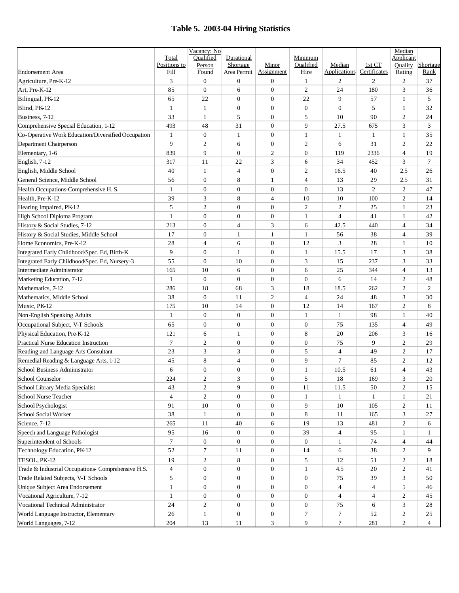# **Table 5. 2003-04 Hiring Statistics**

|                                                                         | Vacancy: No          |                                  |                       |                                    |                   |                     |                | Median         |                |
|-------------------------------------------------------------------------|----------------------|----------------------------------|-----------------------|------------------------------------|-------------------|---------------------|----------------|----------------|----------------|
|                                                                         | Total                | Qualified                        | Durational            |                                    | Minimum           |                     |                | Applicant      |                |
|                                                                         | Positions to         | Person                           | Shortage              | Minor                              | Qualified         | Median              | 1st CT         | Ouality        | Shortage       |
| <b>Endorsement Area</b>                                                 | Fill                 | Found                            | Area Permit           | <b>Assignment</b>                  | Hire              | <b>Applications</b> | Certificates   | Rating         | Rank           |
| Agriculture, Pre-K-12                                                   | 3                    | $\overline{0}$                   | $\boldsymbol{0}$      | $\boldsymbol{0}$                   | $\mathbf{1}$      | 2                   | 2              | $\overline{2}$ | 37             |
| Art, Pre-K-12                                                           | 85                   | $\overline{0}$                   | 6                     | $\overline{0}$                     | $\overline{c}$    | 24                  | 180            | 3              | 36             |
| Bilingual, PK-12                                                        | 65                   | 22                               | $\mathbf{0}$          | $\overline{0}$                     | 22                | 9                   | 57             | $\mathbf{1}$   | 5              |
| Blind, PK-12                                                            | 1                    | $\mathbf{1}$                     | $\boldsymbol{0}$      | $\overline{0}$                     | $\overline{0}$    | $\mathbf{0}$        | 5              | $\mathbf{1}$   | 32             |
| Business, 7-12                                                          | 33                   | $\mathbf{1}$                     | 5                     | $\overline{0}$                     | 5                 | 10                  | 90             | $\overline{2}$ | 24             |
| Comprehensive Special Education, 1-12                                   | 493                  | 48                               | 31                    | $\overline{0}$                     | 9                 | 27.5                | 675            | 3              | 3              |
| Co-Operative Work Education/Diversified Occupation                      | 1                    | $\mathbf{0}$                     | $\mathbf{1}$          | $\overline{0}$                     | 1                 | 1                   | 1              | $\mathbf{1}$   | 35             |
| Department Chairperson                                                  | 9                    | $\overline{2}$                   | 6                     | $\overline{0}$                     | 2                 | 6                   | 31             | $\overline{2}$ | 22             |
| Elementary, 1-6                                                         | 839                  | 9                                | $\overline{0}$        | $\overline{c}$                     | $\overline{0}$    | 119                 | 2336           | $\overline{4}$ | 19             |
| English, 7-12                                                           | 317                  | 11                               | 22                    | 3                                  | 6                 | 34                  | 452            | 3              | 7              |
| English, Middle School                                                  | 40                   | $\mathbf{1}$                     | $\overline{4}$        | $\overline{0}$                     | 2                 | 16.5                | 40             | 2.5            | 26             |
| General Science, Middle School                                          | 56                   | $\boldsymbol{0}$                 | 8                     | $\mathbf{1}$                       | $\overline{4}$    | 13                  | 29             | 2.5            | 31             |
| Health Occupations-Comprehensive H. S.                                  | 1                    | $\boldsymbol{0}$                 | $\boldsymbol{0}$      | $\overline{0}$                     | $\overline{0}$    | 13                  | $\overline{c}$ | $\overline{2}$ | 47             |
| Health, Pre-K-12                                                        | 39                   | 3                                | 8                     | $\overline{4}$                     | 10                | 10                  | 100            | $\overline{2}$ | 14             |
| Hearing Impaired, PK-12                                                 | 5                    | $\overline{c}$                   | $\overline{0}$        | $\overline{0}$                     | $\overline{c}$    | $\overline{2}$      | 25             | $\mathbf{1}$   | 23             |
| High School Diploma Program                                             | $\mathbf{1}$         | $\mathbf{0}$                     | $\mathbf{0}$          | $\overline{0}$                     | 1                 | $\overline{4}$      | 41             | $\mathbf{1}$   | 42             |
| History & Social Studies, 7-12                                          | 213                  | $\mathbf{0}$                     | $\overline{4}$        | 3                                  | 6                 | 42.5                | 440            | $\overline{4}$ | 34             |
| History & Social Studies, Middle School                                 | 17                   | $\mathbf{0}$                     | $\mathbf{1}$          | $\mathbf{1}$                       | 1                 | 56                  | 38             | $\overline{4}$ | 39             |
| Home Economics, Pre-K-12                                                | 28                   | $\overline{4}$                   | 6                     | $\overline{0}$                     | 12                | 3                   | 28             | $\mathbf{1}$   | 10             |
| Integrated Early Childhood/Spec. Ed, Birth-K                            | 9                    | $\overline{0}$                   | $\mathbf{1}$          | $\overline{0}$                     | 1                 | 15.5                | 17             | 3              | 38             |
| Integrated Early Childhood/Spec. Ed, Nursery-3                          | 55                   | $\mathbf{0}$                     | 10                    | $\overline{0}$                     | 3                 | 15                  | 237            | 3              | 33             |
| Intermediate Administrator                                              | 165                  | 10                               | 6                     | $\overline{0}$                     | 6                 | 25                  | 344            | $\overline{4}$ | 13             |
| Marketing Education, 7-12                                               | 1                    | $\mathbf{0}$                     | $\overline{0}$        | $\overline{0}$                     | $\overline{0}$    | 6                   | 14             | $\overline{2}$ | 48             |
| Mathematics, 7-12                                                       | 286                  | 18                               | 68                    | 3                                  | 18                | 18.5                | 262            | $\overline{2}$ | $\overline{c}$ |
| Mathematics, Middle School                                              | 38                   | $\mathbf{0}$                     | 11                    | $\overline{c}$                     | 4                 | 24                  | 48             | 3              | 30             |
| Music, PK-12                                                            | 175                  | 10                               | 14                    | $\overline{0}$                     | 12                | 14                  | 167            | $\overline{2}$ | 8              |
| Non-English Speaking Adults                                             | 1                    | $\mathbf{0}$                     | $\boldsymbol{0}$      | $\overline{0}$                     | 1                 | $\mathbf{1}$        | 98             | $\mathbf{1}$   | 40             |
| Occupational Subject, V-T Schools                                       | 65                   | $\boldsymbol{0}$                 | $\boldsymbol{0}$      | $\boldsymbol{0}$                   | $\mathbf{0}$      | 75                  | 135            | $\overline{4}$ | 49             |
| Physical Education, Pre-K-12                                            | 121                  | 6                                | $\mathbf{1}$          | $\overline{0}$                     | 8                 | 20                  | 206            | 3              | 16             |
| Practical Nurse Education Instruction                                   | $\overline{7}$       | $\overline{c}$                   | $\boldsymbol{0}$      | $\overline{0}$                     | $\overline{0}$    | 75                  | 9              | $\mathfrak{2}$ | 29             |
|                                                                         | 23                   | 3                                | 3                     | $\boldsymbol{0}$                   | 5                 | $\overline{4}$      | 49             | $\mathfrak{2}$ | 17             |
| Reading and Language Arts Consultant                                    | 45                   | 8                                | $\overline{4}$        | $\boldsymbol{0}$                   | 9                 | 7                   | 85             | $\overline{2}$ | 12             |
| Remedial Reading & Language Arts, 1-12<br>School Business Administrator |                      | $\boldsymbol{0}$                 |                       |                                    |                   |                     |                |                | 43             |
|                                                                         | 6                    | $\overline{2}$                   | $\boldsymbol{0}$<br>3 | $\boldsymbol{0}$<br>$\overline{0}$ | $\mathbf{1}$<br>5 | 10.5<br>18          | 61             | $\overline{4}$ | 20             |
| School Counselor                                                        | 224                  |                                  |                       |                                    |                   |                     | 169            | 3              |                |
| School Library Media Specialist                                         | 43<br>$\overline{4}$ | $\overline{c}$<br>$\overline{2}$ | 9<br>$\overline{0}$   | $\boldsymbol{0}$                   | 11                | 11.5                | 50             | $\overline{2}$ | 15             |
| School Nurse Teacher                                                    |                      |                                  |                       | $\boldsymbol{0}$                   | 1                 | $\mathbf{1}$        | 1              | $\mathbf{1}$   | 21             |
| School Psychologist                                                     | 91                   | $10\,$                           | $\boldsymbol{0}$      | $\boldsymbol{0}$                   | 9                 | 10                  | 105            | $\overline{2}$ | 11             |
| School Social Worker                                                    | 38                   | 1                                | $\boldsymbol{0}$      | $\boldsymbol{0}$                   | 8                 | 11                  | 165            | 3              | 27             |
| Science, 7-12                                                           | 265                  | 11                               | 40                    | 6                                  | 19                | 13                  | 481            | $\overline{c}$ | 6              |
| Speech and Language Pathologist                                         | 95                   | 16                               | $\boldsymbol{0}$      | $\boldsymbol{0}$                   | 39                | $\overline{4}$      | 95             | 1              | 1              |
| Superintendent of Schools                                               | $\tau$               | $\mathbf{0}$                     | $\boldsymbol{0}$      | $\boldsymbol{0}$                   | $\overline{0}$    | $\mathbf{1}$        | 74             | $\overline{4}$ | 44             |
| Technology Education, PK-12                                             | 52                   | 7                                | 11                    | $\boldsymbol{0}$                   | 14                | 6                   | 38             | $\overline{c}$ | 9              |
| TESOL, PK-12                                                            | 19                   | $\overline{2}$                   | 8                     | $\boldsymbol{0}$                   | 5                 | 12                  | 51             | $\overline{2}$ | 18             |
| Trade & Industrial Occupations- Comprehensive H.S.                      | 4                    | $\overline{0}$                   | $\boldsymbol{0}$      | $\boldsymbol{0}$                   | 1                 | 4.5                 | 20             | $\overline{2}$ | 41             |
| Trade Related Subjects, V-T Schools                                     | 5                    | $\mathbf{0}$                     | $\boldsymbol{0}$      | $\boldsymbol{0}$                   | $\boldsymbol{0}$  | 75                  | 39             | 3              | 50             |
| Unique Subject Area Endorsement                                         | $\mathbf{1}$         | $\mathbf{0}$                     | $\boldsymbol{0}$      | $\boldsymbol{0}$                   | $\boldsymbol{0}$  | $\overline{4}$      | 4              | 5              | 46             |
| Vocational Agriculture, 7-12                                            | $\mathbf{1}$         | $\mathbf{0}$                     | $\boldsymbol{0}$      | $\boldsymbol{0}$                   | $\overline{0}$    | $\overline{4}$      | $\overline{4}$ | $\overline{2}$ | 45             |
| Vocational Technical Administrator                                      | 24                   | $\overline{c}$                   | $\boldsymbol{0}$      | $\boldsymbol{0}$                   | $\overline{0}$    | 75                  | 6              | 3              | 28             |
| World Language Instructor, Elementary                                   | 26                   | $\mathbf{1}$                     | $\boldsymbol{0}$      | 0                                  | 7                 | $\tau$              | 52             | $\overline{2}$ | 25             |
| World Languages, 7-12                                                   | 204                  | 13                               | 51                    | 3                                  | 9                 | $\tau$              | 281            | 2              | $\overline{4}$ |